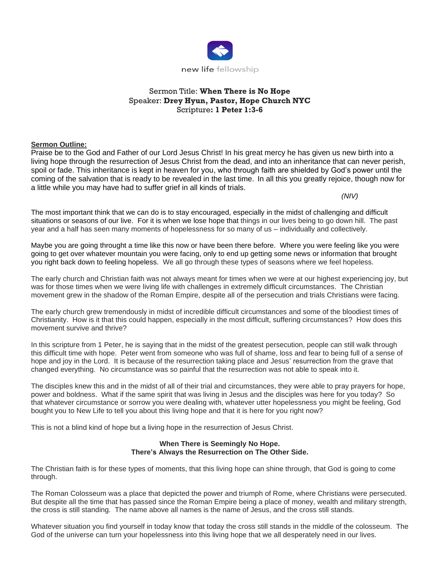

# Sermon Title: **When There is No Hope** Speaker: **Drey Hyun, Pastor, Hope Church NYC** Scripture**: 1 Peter 1:3-6**

### **Sermon Outline:**

Praise be to the God and Father of our Lord Jesus Christ! In his great mercy he has given us new birth into a living hope through the resurrection of Jesus Christ from the dead, and into an inheritance that can never perish, spoil or fade. This inheritance is kept in heaven for you, who through faith are shielded by God's power until the coming of the salvation that is ready to be revealed in the last time. In all this you greatly rejoice, though now for a little while you may have had to suffer grief in all kinds of trials.

*(NIV)*

The most important think that we can do is to stay encouraged, especially in the midst of challenging and difficult situations or seasons of our live. For it is when we lose hope that things in our lives being to go down hill. The past year and a half has seen many moments of hopelessness for so many of us – individually and collectively.

Maybe you are going throught a time like this now or have been there before. Where you were feeling like you were going to get over whatever mountain you were facing, only to end up getting some news or information that brought you right back down to feeling hopeless. We all go through these types of seasons where we feel hopeless.

The early church and Christian faith was not always meant for times when we were at our highest experiencing joy, but was for those times when we were living life with challenges in extremely difficult circumstances. The Christian movement grew in the shadow of the Roman Empire, despite all of the persecution and trials Christians were facing.

The early church grew tremendously in midst of incredible difficult circumstances and some of the bloodiest times of Christianity. How is it that this could happen, especially in the most difficult, suffering circumstances? How does this movement survive and thrive?

In this scripture from 1 Peter, he is saying that in the midst of the greatest persecution, people can still walk through this difficult time with hope. Peter went from someone who was full of shame, loss and fear to being full of a sense of hope and joy in the Lord. It is because of the resurrection taking place and Jesus' resurrection from the grave that changed everything. No circumstance was so painful that the resurrection was not able to speak into it.

The disciples knew this and in the midst of all of their trial and circumstances, they were able to pray prayers for hope, power and boldness. What if the same spirit that was living in Jesus and the disciples was here for you today? So that whatever circumstance or sorrow you were dealing with, whatever utter hopelessness you might be feeling, God bought you to New Life to tell you about this living hope and that it is here for you right now?

This is not a blind kind of hope but a living hope in the resurrection of Jesus Christ.

### **When There is Seemingly No Hope. There's Always the Resurrection on The Other Side.**

The Christian faith is for these types of moments, that this living hope can shine through, that God is going to come through.

The Roman Colosseum was a place that depicted the power and triumph of Rome, where Christians were persecuted. But despite all the time that has passed since the Roman Empire being a place of money, wealth and military strength, the cross is still standing. The name above all names is the name of Jesus, and the cross still stands.

Whatever situation you find yourself in today know that today the cross still stands in the middle of the colosseum. The God of the universe can turn your hopelessness into this living hope that we all desperately need in our lives.